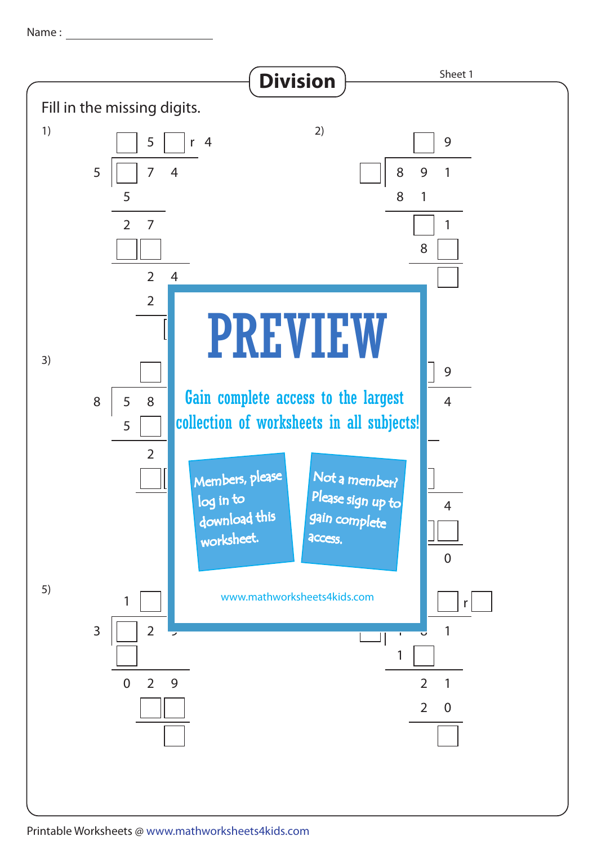